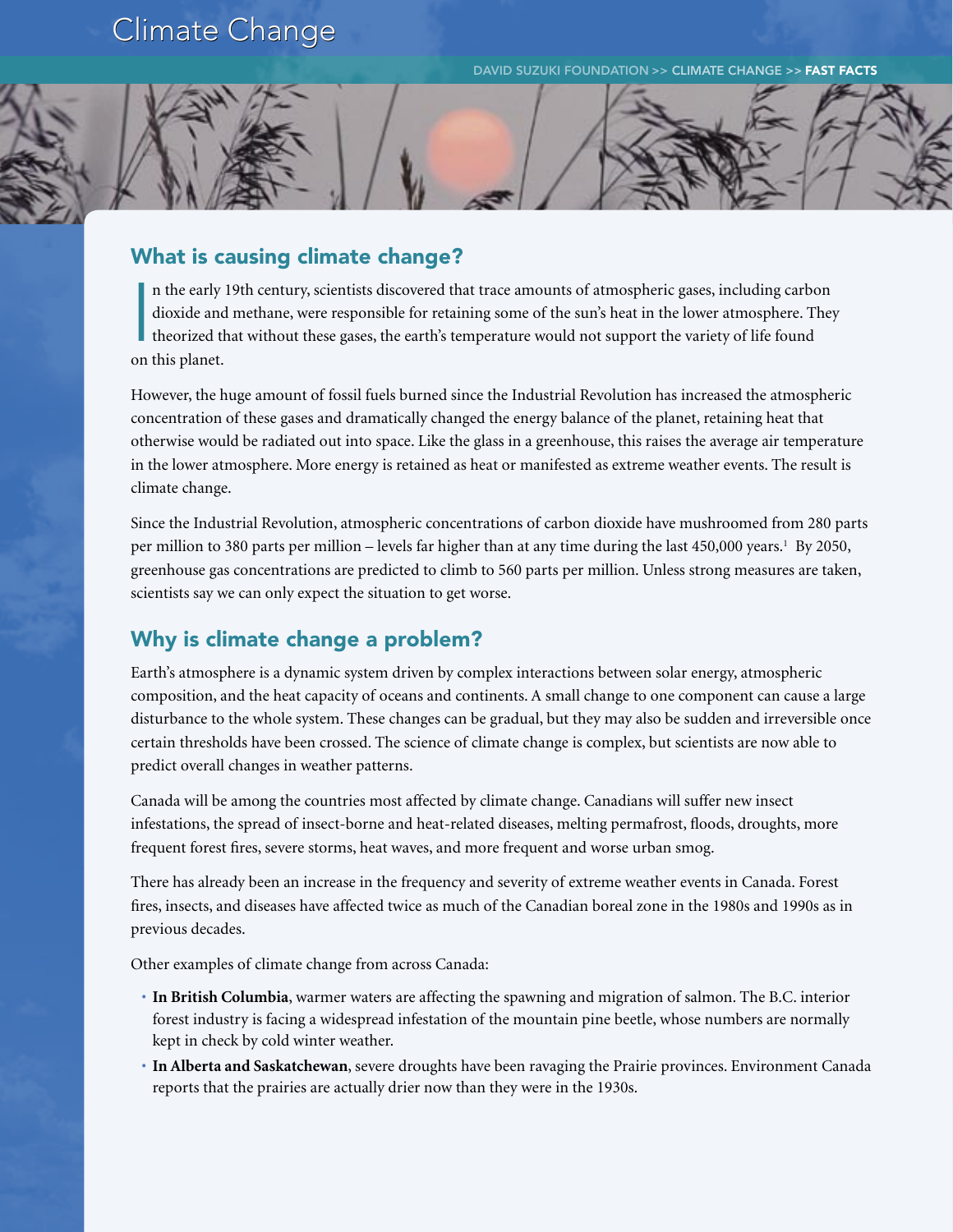## **Climate Change**

DAVID SUZUKI FOUNDATION >> CLIMATE CHANGE >> FAST FACTS

## What is causing climate change?

I n the early 19th century, scientists discovered that trace amounts of atmospheric gases, including carbon dioxide and methane, were responsible for retaining some of the sun's heat in the lower atmosphere. They theorized that without these gases, the earth's temperature would not support the variety of life found on this planet.

However, the huge amount of fossil fuels burned since the Industrial Revolution has increased the atmospheric concentration of these gases and dramatically changed the energy balance of the planet, retaining heat that otherwise would be radiated out into space. Like the glass in a greenhouse, this raises the average air temperature in the lower atmosphere. More energy is retained as heat or manifested as extreme weather events. The result is climate change.

Since the Industrial Revolution, atmospheric concentrations of carbon dioxide have mushroomed from 280 parts per million to 380 parts per million – levels far higher than at any time during the last 450,000 years.<sup>1</sup> By 2050, greenhouse gas concentrations are predicted to climb to 560 parts per million. Unless strong measures are taken, scientists say we can only expect the situation to get worse.

## Why is climate change a problem?

Earth's atmosphere is a dynamic system driven by complex interactions between solar energy, atmospheric composition, and the heat capacity of oceans and continents. A small change to one component can cause a large disturbance to the whole system. These changes can be gradual, but they may also be sudden and irreversible once certain thresholds have been crossed. The science of climate change is complex, but scientists are now able to predict overall changes in weather patterns.

Canada will be among the countries most affected by climate change. Canadians will suffer new insect infestations, the spread of insect-borne and heat-related diseases, melting permafrost, floods, droughts, more frequent forest fires, severe storms, heat waves, and more frequent and worse urban smog.

There has already been an increase in the frequency and severity of extreme weather events in Canada. Forest fires, insects, and diseases have affected twice as much of the Canadian boreal zone in the 1980s and 1990s as in previous decades.

Other examples of climate change from across Canada:

- **In British Columbia**, warmer waters are affecting the spawning and migration of salmon. The B.C. interior forest industry is facing a widespread infestation of the mountain pine beetle, whose numbers are normally kept in check by cold winter weather.
- **In Alberta and Saskatchewan**, severe droughts have been ravaging the Prairie provinces. Environment Canada reports that the prairies are actually drier now than they were in the 1930s.